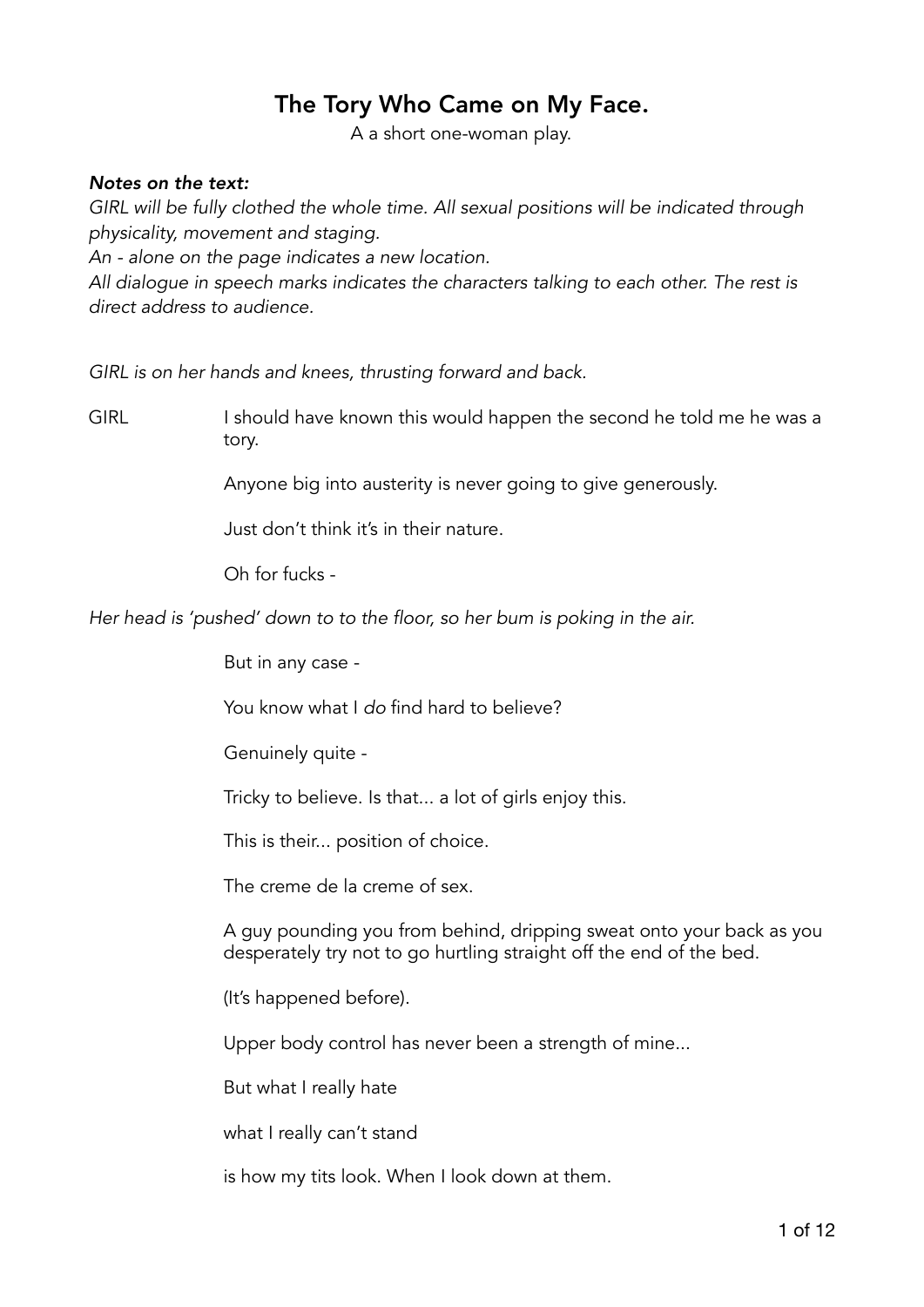## The Tory Who Came on My Face.

A a short one-woman play.

## *Notes on the text:*

GIRL will be fully clothed the whole time. All sexual positions will be indicated through *physicality, movement and staging.* 

*An - alone on the page indicates a new location.* 

*All dialogue in speech marks indicates the characters talking to each other. The rest is direct address to audience.* 

*GIRL is on her hands and knees, thrusting forward and back.* 

GIRL I should have known this would happen the second he told me he was a tory.

Anyone big into austerity is never going to give generously.

Just don't think it's in their nature.

Oh for fucks -

*Her head is 'pushed' down to to the floor, so her bum is poking in the air.* 

But in any case -

You know what I *do* find hard to believe?

Genuinely quite -

Tricky to believe. Is that... a lot of girls enjoy this.

This is their... position of choice.

The creme de la creme of sex.

A guy pounding you from behind, dripping sweat onto your back as you desperately try not to go hurtling straight off the end of the bed.

(It's happened before).

Upper body control has never been a strength of mine...

But what I really hate

what I really can't stand

is how my tits look. When I look down at them.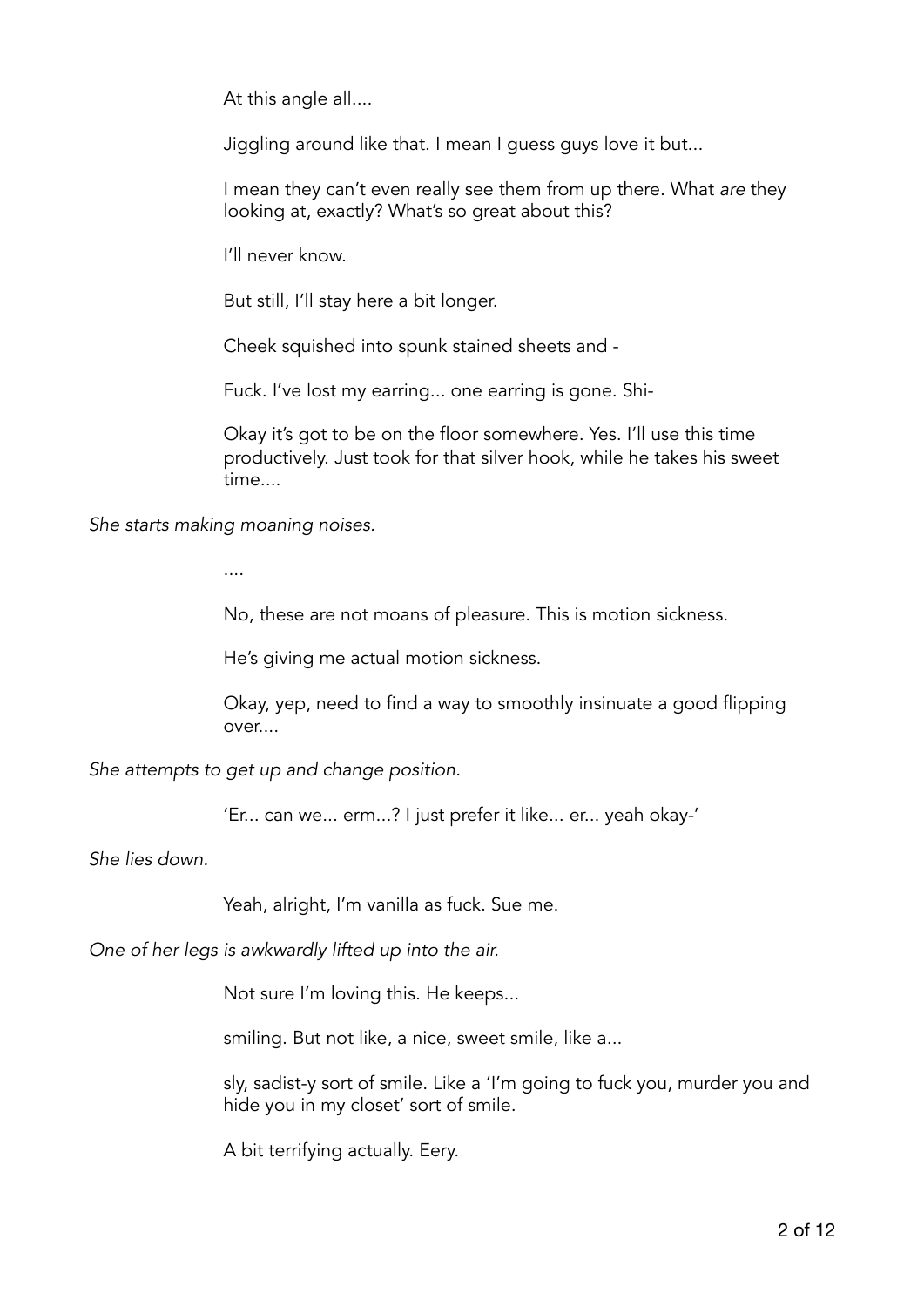At this angle all....

Jiggling around like that. I mean I guess guys love it but...

I mean they can't even really see them from up there. What *are* they looking at, exactly? What's so great about this?

I'll never know.

But still, I'll stay here a bit longer.

Cheek squished into spunk stained sheets and -

Fuck. I've lost my earring... one earring is gone. Shi-

Okay it's got to be on the floor somewhere. Yes. I'll use this time productively. Just took for that silver hook, while he takes his sweet time....

*She starts making moaning noises.* 

....

No, these are not moans of pleasure. This is motion sickness.

He's giving me actual motion sickness.

Okay, yep, need to find a way to smoothly insinuate a good flipping over....

*She attempts to get up and change position.* 

'Er... can we... erm...? I just prefer it like... er... yeah okay-'

*She lies down.* 

Yeah, alright, I'm vanilla as fuck. Sue me.

*One of her legs is awkwardly lifted up into the air.* 

Not sure I'm loving this. He keeps...

smiling. But not like, a nice, sweet smile, like a...

sly, sadist-y sort of smile. Like a 'I'm going to fuck you, murder you and hide you in my closet' sort of smile.

A bit terrifying actually. Eery.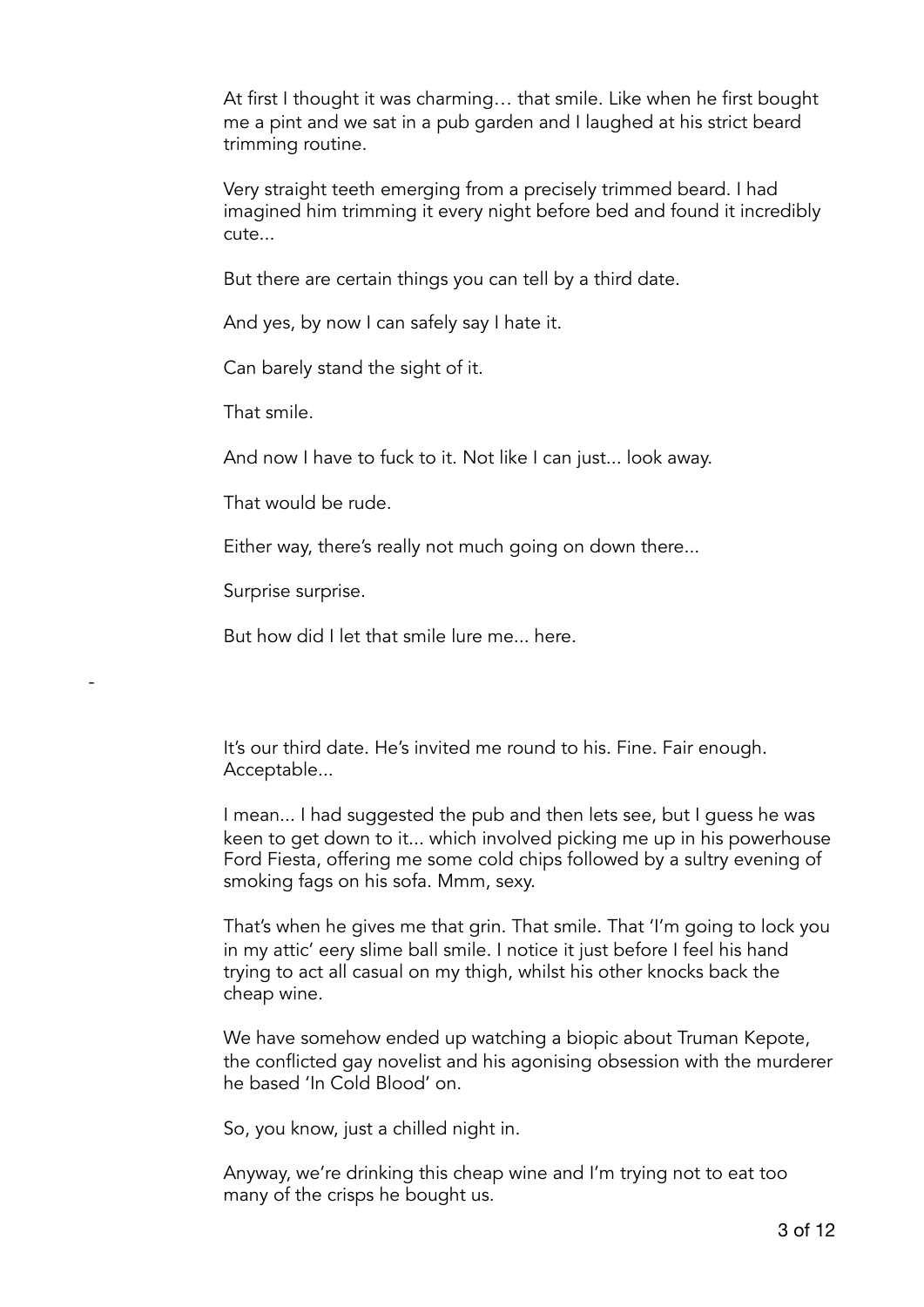At first I thought it was charming… that smile. Like when he first bought me a pint and we sat in a pub garden and I laughed at his strict beard trimming routine.

Very straight teeth emerging from a precisely trimmed beard. I had imagined him trimming it every night before bed and found it incredibly cute...

But there are certain things you can tell by a third date.

And yes, by now I can safely say I hate it.

Can barely stand the sight of it.

That smile.

And now I have to fuck to it. Not like I can just... look away.

That would be rude.

Either way, there's really not much going on down there...

Surprise surprise.

-

But how did I let that smile lure me... here.

It's our third date. He's invited me round to his. Fine. Fair enough. Acceptable...

I mean... I had suggested the pub and then lets see, but I guess he was keen to get down to it... which involved picking me up in his powerhouse Ford Fiesta, offering me some cold chips followed by a sultry evening of smoking fags on his sofa. Mmm, sexy.

That's when he gives me that grin. That smile. That 'I'm going to lock you in my attic' eery slime ball smile. I notice it just before I feel his hand trying to act all casual on my thigh, whilst his other knocks back the cheap wine.

We have somehow ended up watching a biopic about Truman Kepote, the conflicted gay novelist and his agonising obsession with the murderer he based 'In Cold Blood' on.

So, you know, just a chilled night in.

Anyway, we're drinking this cheap wine and I'm trying not to eat too many of the crisps he bought us.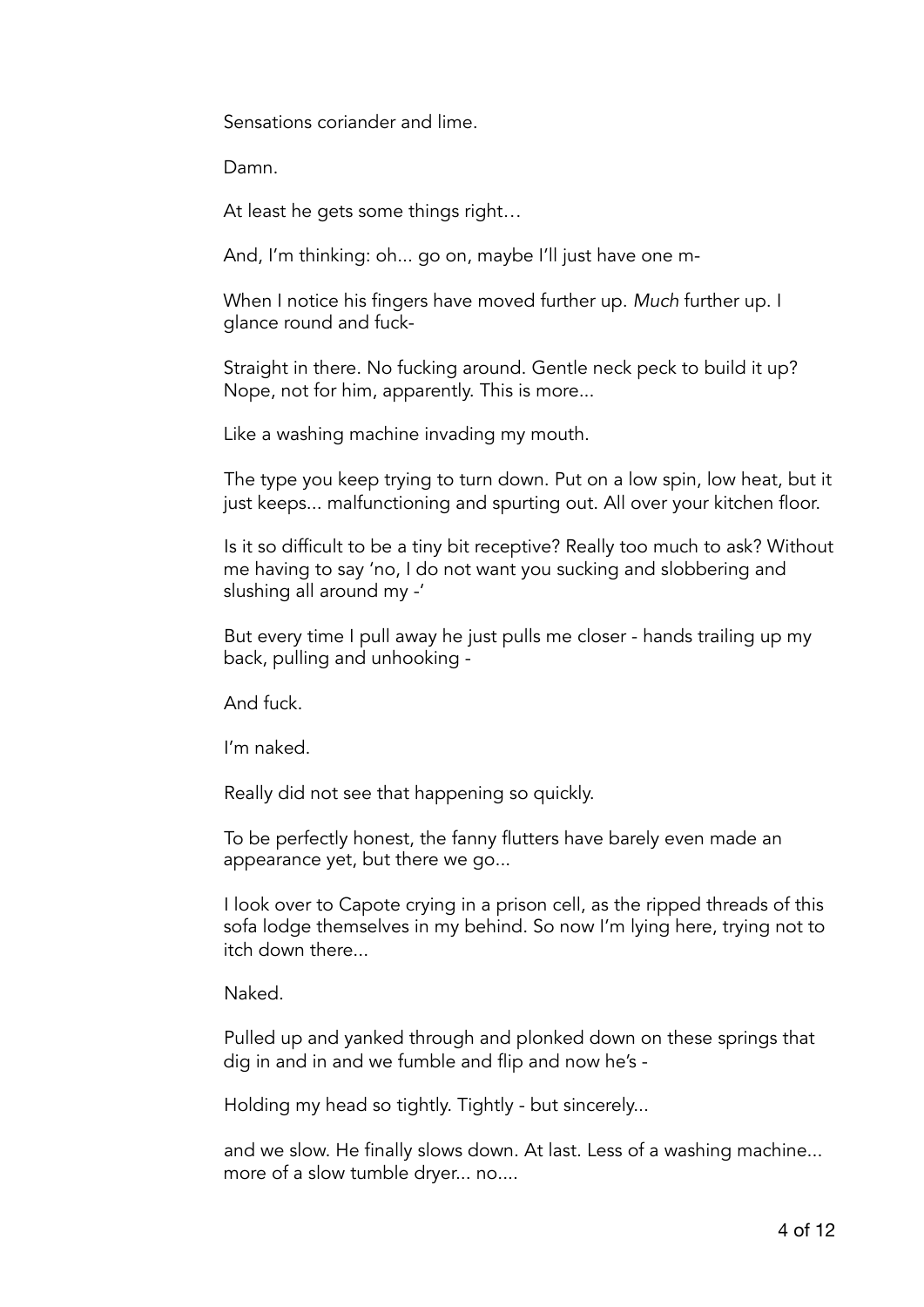Sensations coriander and lime.

Damn.

At least he gets some things right…

And, I'm thinking: oh... go on, maybe I'll just have one m-

When I notice his fingers have moved further up. *Much* further up. I glance round and fuck-

Straight in there. No fucking around. Gentle neck peck to build it up? Nope, not for him, apparently. This is more...

Like a washing machine invading my mouth.

 The type you keep trying to turn down. Put on a low spin, low heat, but it just keeps... malfunctioning and spurting out. All over your kitchen floor.

 Is it so difficult to be a tiny bit receptive? Really too much to ask? Without me having to say 'no, I do not want you sucking and slobbering and slushing all around my -'

 But every time I pull away he just pulls me closer - hands trailing up my back, pulling and unhooking -

And fuck.

I'm naked.

Really did not see that happening so quickly.

 To be perfectly honest, the fanny flutters have barely even made an appearance yet, but there we go...

 I look over to Capote crying in a prison cell, as the ripped threads of this sofa lodge themselves in my behind. So now I'm lying here, trying not to itch down there...

Naked.

 Pulled up and yanked through and plonked down on these springs that dig in and in and we fumble and flip and now he's -

Holding my head so tightly. Tightly - but sincerely...

 and we slow. He finally slows down. At last. Less of a washing machine... more of a slow tumble dryer... no....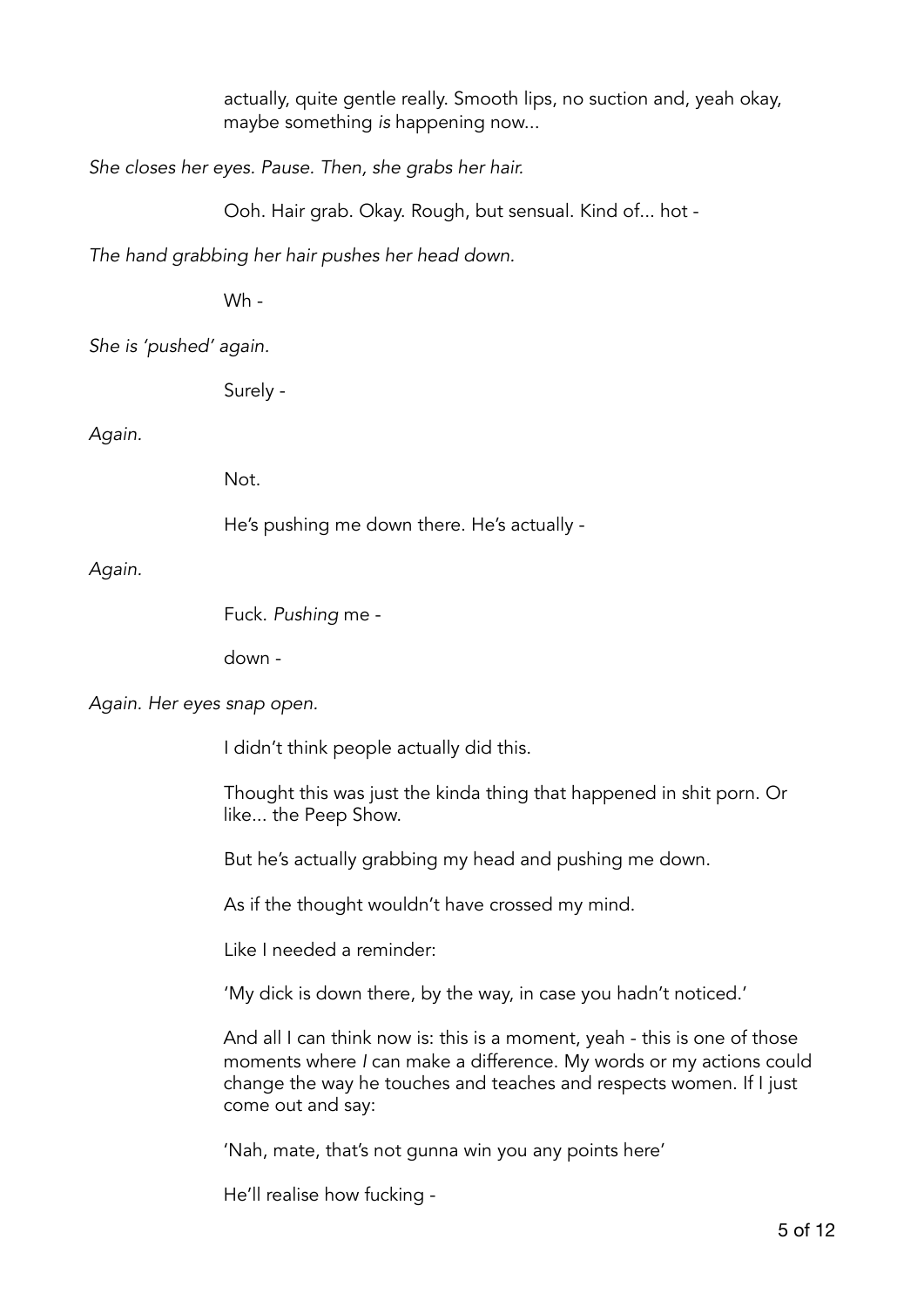actually, quite gentle really. Smooth lips, no suction and, yeah okay, maybe something *is* happening now...

*She closes her eyes. Pause. Then, she grabs her hair.* 

Ooh. Hair grab. Okay. Rough, but sensual. Kind of... hot -

*The hand grabbing her hair pushes her head down.* 

Wh -

*She is 'pushed' again.* 

Surely -

*Again.* 

Not.

He's pushing me down there. He's actually -

*Again.* 

Fuck. *Pushing* me -

down -

*Again. Her eyes snap open.* 

I didn't think people actually did this.

 Thought this was just the kinda thing that happened in shit porn. Or like... the Peep Show.

But he's actually grabbing my head and pushing me down.

As if the thought wouldn't have crossed my mind.

Like I needed a reminder:

'My dick is down there, by the way, in case you hadn't noticed.'

And all I can think now is: this is a moment, yeah - this is one of those moments where *I* can make a difference. My words or my actions could change the way he touches and teaches and respects women. If I just come out and say:

'Nah, mate, that's not gunna win you any points here'

He'll realise how fucking -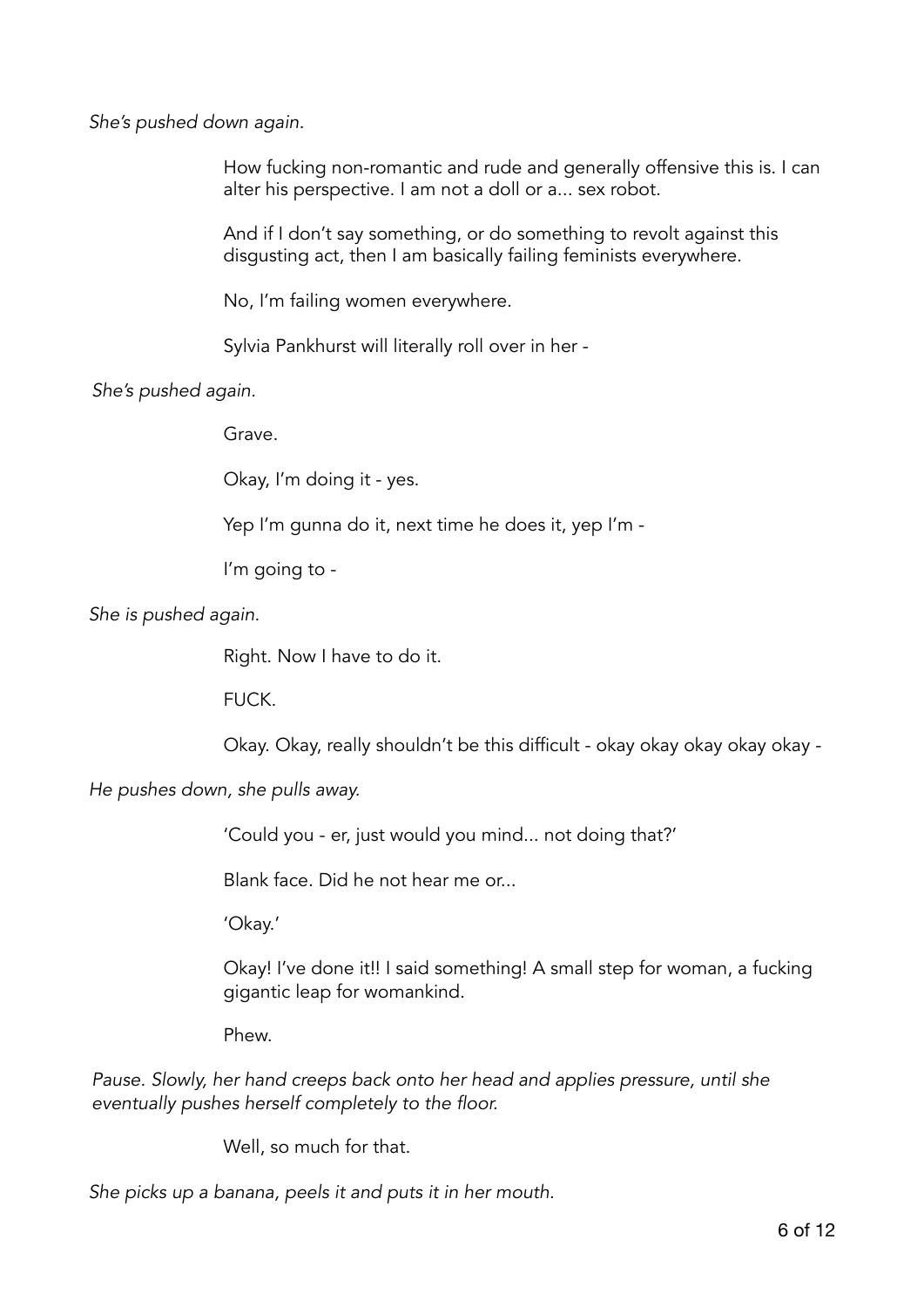*She's pushed down again.* 

How fucking non-romantic and rude and generally offensive this is. I can alter his perspective. I am not a doll or a... sex robot.

And if I don't say something, or do something to revolt against this disgusting act, then I am basically failing feminists everywhere.

No, I'm failing women everywhere.

Sylvia Pankhurst will literally roll over in her -

*She's pushed again.* 

Grave.

Okay, I'm doing it - yes.

Yep I'm gunna do it, next time he does it, yep I'm -

I'm going to -

*She is pushed again.* 

Right. Now I have to do it.

FUCK.

Okay. Okay, really shouldn't be this difficult - okay okay okay okay okay -

*He pushes down, she pulls away.* 

'Could you - er, just would you mind... not doing that?'

Blank face. Did he not hear me or...

'Okay.'

Okay! I've done it!! I said something! A small step for woman, a fucking gigantic leap for womankind.

Phew.

*Pause. Slowly, her hand creeps back onto her head and applies pressure, until she eventually pushes herself completely to the floor.* 

Well, so much for that.

*She picks up a banana, peels it and puts it in her mouth.*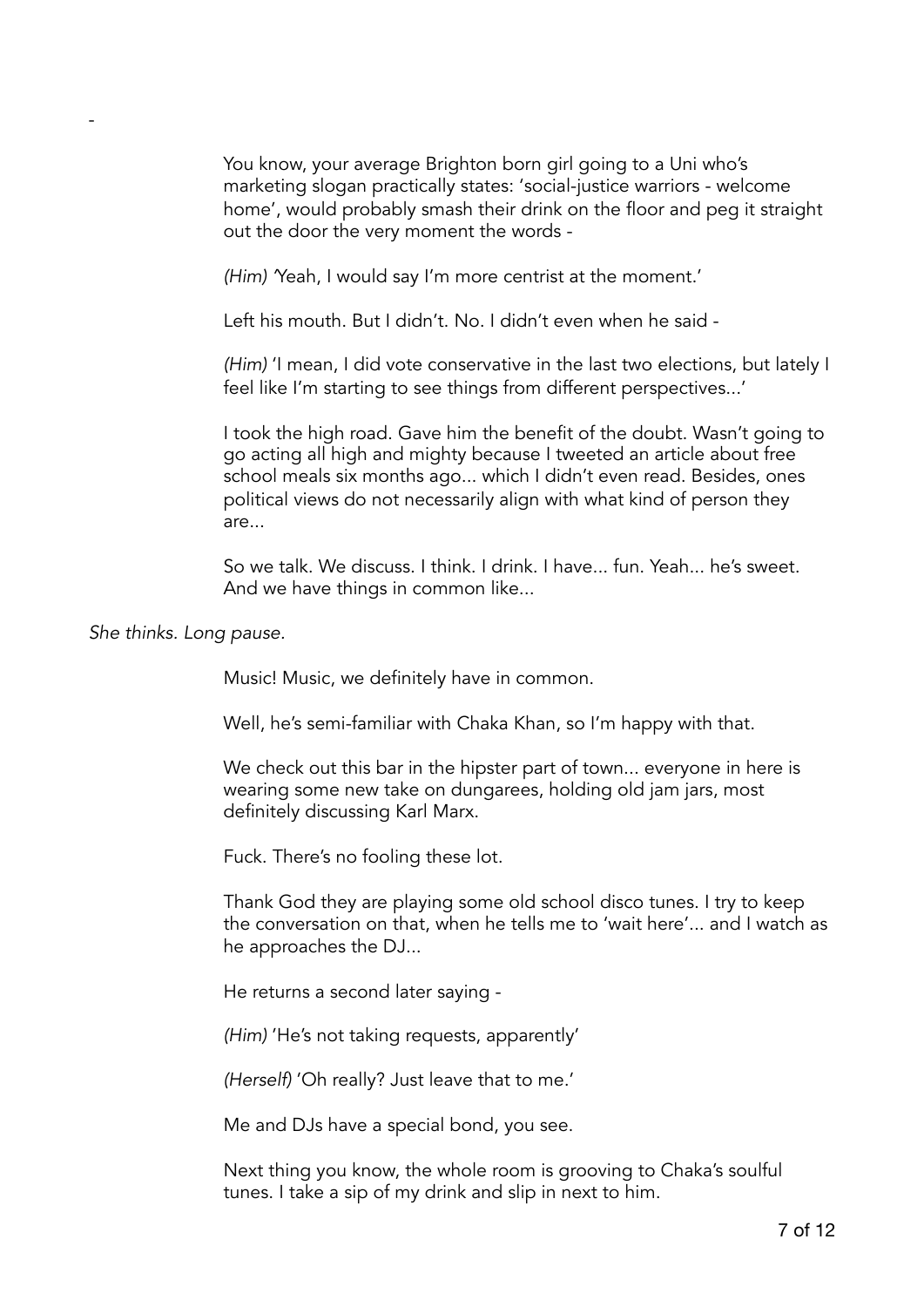You know, your average Brighton born girl going to a Uni who's marketing slogan practically states: 'social-justice warriors - welcome home', would probably smash their drink on the floor and peg it straight out the door the very moment the words -

*(Him) '*Yeah, I would say I'm more centrist at the moment.'

Left his mouth. But I didn't. No. I didn't even when he said -

*(Him)* 'I mean, I did vote conservative in the last two elections, but lately I feel like I'm starting to see things from different perspectives...'

I took the high road. Gave him the benefit of the doubt. Wasn't going to go acting all high and mighty because I tweeted an article about free school meals six months ago... which I didn't even read. Besides, ones political views do not necessarily align with what kind of person they are...

So we talk. We discuss. I think. I drink. I have... fun. Yeah... he's sweet. And we have things in common like...

*She thinks. Long pause.* 

-

Music! Music, we definitely have in common.

Well, he's semi-familiar with Chaka Khan, so I'm happy with that.

We check out this bar in the hipster part of town... everyone in here is wearing some new take on dungarees, holding old jam jars, most definitely discussing Karl Marx.

Fuck. There's no fooling these lot.

Thank God they are playing some old school disco tunes. I try to keep the conversation on that, when he tells me to 'wait here'... and I watch as he approaches the DJ...

He returns a second later saying -

*(Him)* 'He's not taking requests, apparently'

*(Herself)* 'Oh really? Just leave that to me.'

Me and DJs have a special bond, you see.

Next thing you know, the whole room is grooving to Chaka's soulful tunes. I take a sip of my drink and slip in next to him.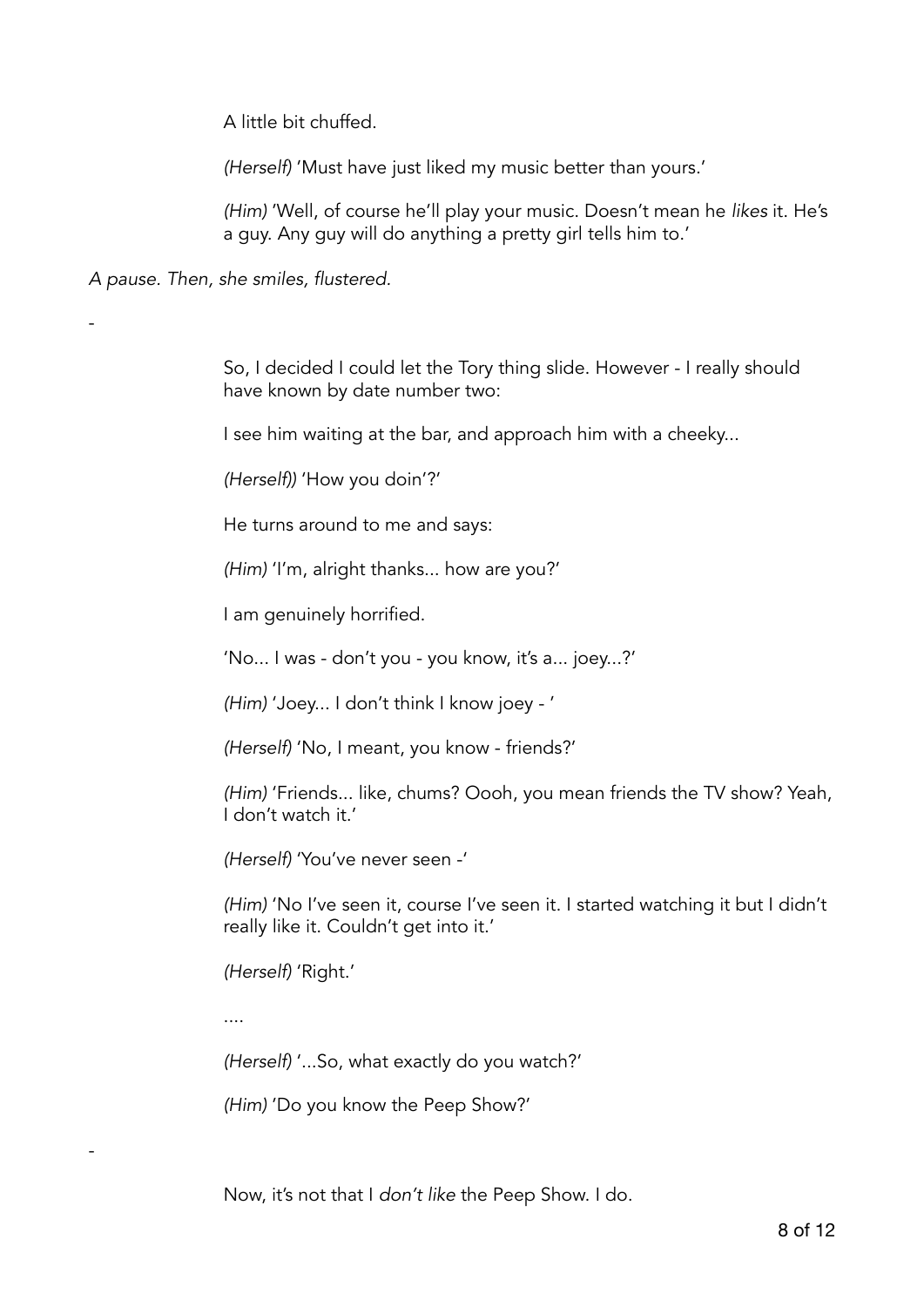A little bit chuffed.

*(Herself)* 'Must have just liked my music better than yours.'

*(Him)* 'Well, of course he'll play your music. Doesn't mean he *likes* it. He's a guy. Any guy will do anything a pretty girl tells him to.'

*A pause. Then, she smiles, flustered.* 

-

-

So, I decided I could let the Tory thing slide. However - I really should have known by date number two:

I see him waiting at the bar, and approach him with a cheeky...

*(Herself))* 'How you doin'?'

He turns around to me and says:

*(Him)* 'I'm, alright thanks... how are you?'

I am genuinely horrified.

'No... I was - don't you - you know, it's a... joey...?'

*(Him)* 'Joey... I don't think I know joey - '

*(Herself)* 'No, I meant, you know - friends?'

*(Him)* 'Friends... like, chums? Oooh, you mean friends the TV show? Yeah, I don't watch it.'

*(Herself)* 'You've never seen -'

*(Him)* 'No I've seen it, course I've seen it. I started watching it but I didn't really like it. Couldn't get into it.'

*(Herself)* 'Right.'

....

*(Herself)* '...So, what exactly do you watch?'

*(Him)* 'Do you know the Peep Show?'

Now, it's not that I *don't like* the Peep Show. I do.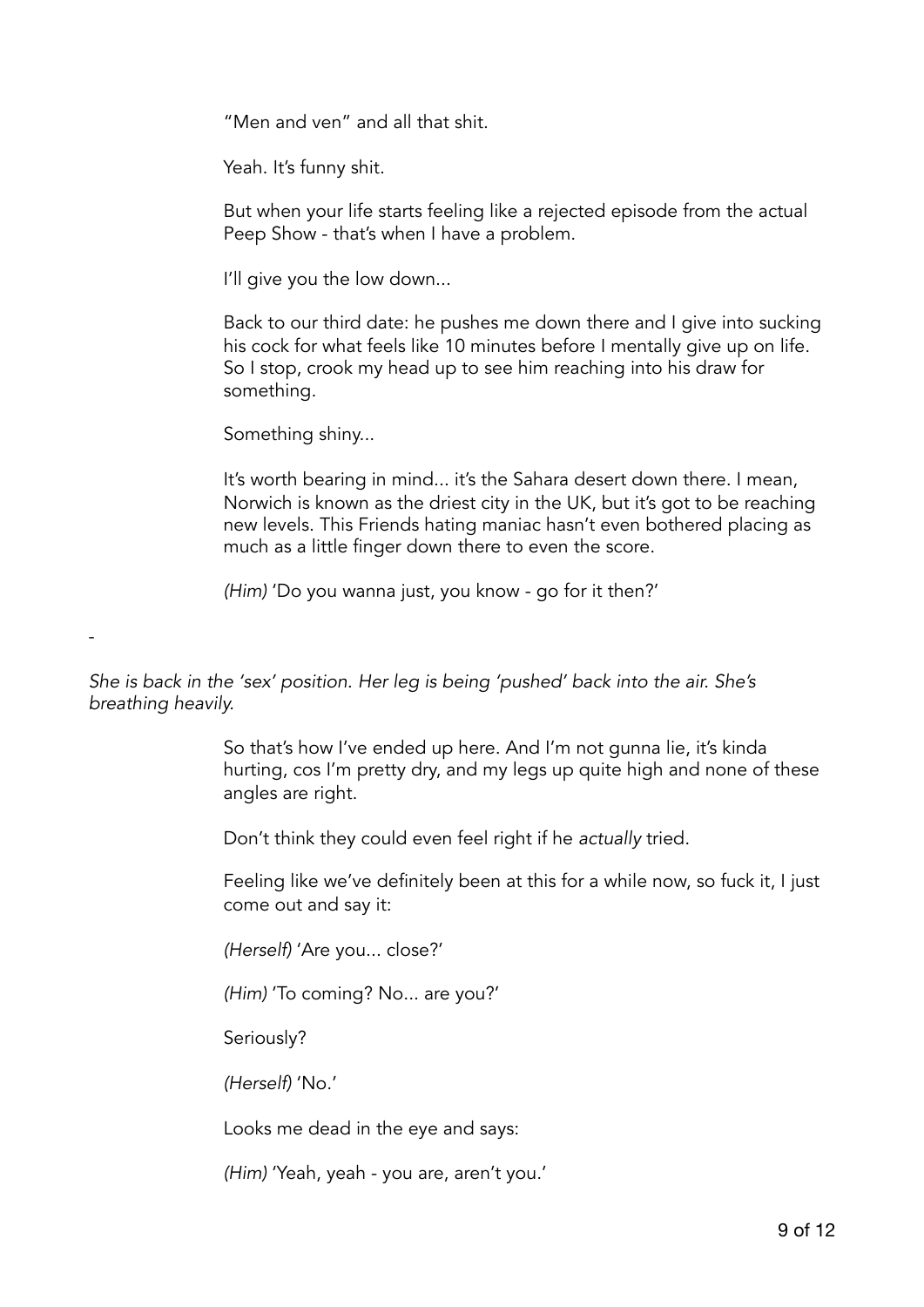"Men and ven" and all that shit.

Yeah. It's funny shit.

But when your life starts feeling like a rejected episode from the actual Peep Show - that's when I have a problem.

I'll give you the low down...

Back to our third date: he pushes me down there and I give into sucking his cock for what feels like 10 minutes before I mentally give up on life. So I stop, crook my head up to see him reaching into his draw for something.

Something shiny...

-

It's worth bearing in mind... it's the Sahara desert down there. I mean, Norwich is known as the driest city in the UK, but it's got to be reaching new levels. This Friends hating maniac hasn't even bothered placing as much as a little finger down there to even the score.

*(Him)* 'Do you wanna just, you know - go for it then?'

*She is back in the 'sex' position. Her leg is being 'pushed' back into the air. She's breathing heavily.* 

> So that's how I've ended up here. And I'm not gunna lie, it's kinda hurting, cos I'm pretty dry, and my legs up quite high and none of these angles are right.

Don't think they could even feel right if he *actually* tried.

Feeling like we've definitely been at this for a while now, so fuck it, I just come out and say it:

*(Herself)* 'Are you... close?'

*(Him)* 'To coming? No... are you?'

Seriously?

*(Herself)* 'No.'

Looks me dead in the eye and says:

*(Him)* 'Yeah, yeah - you are, aren't you.'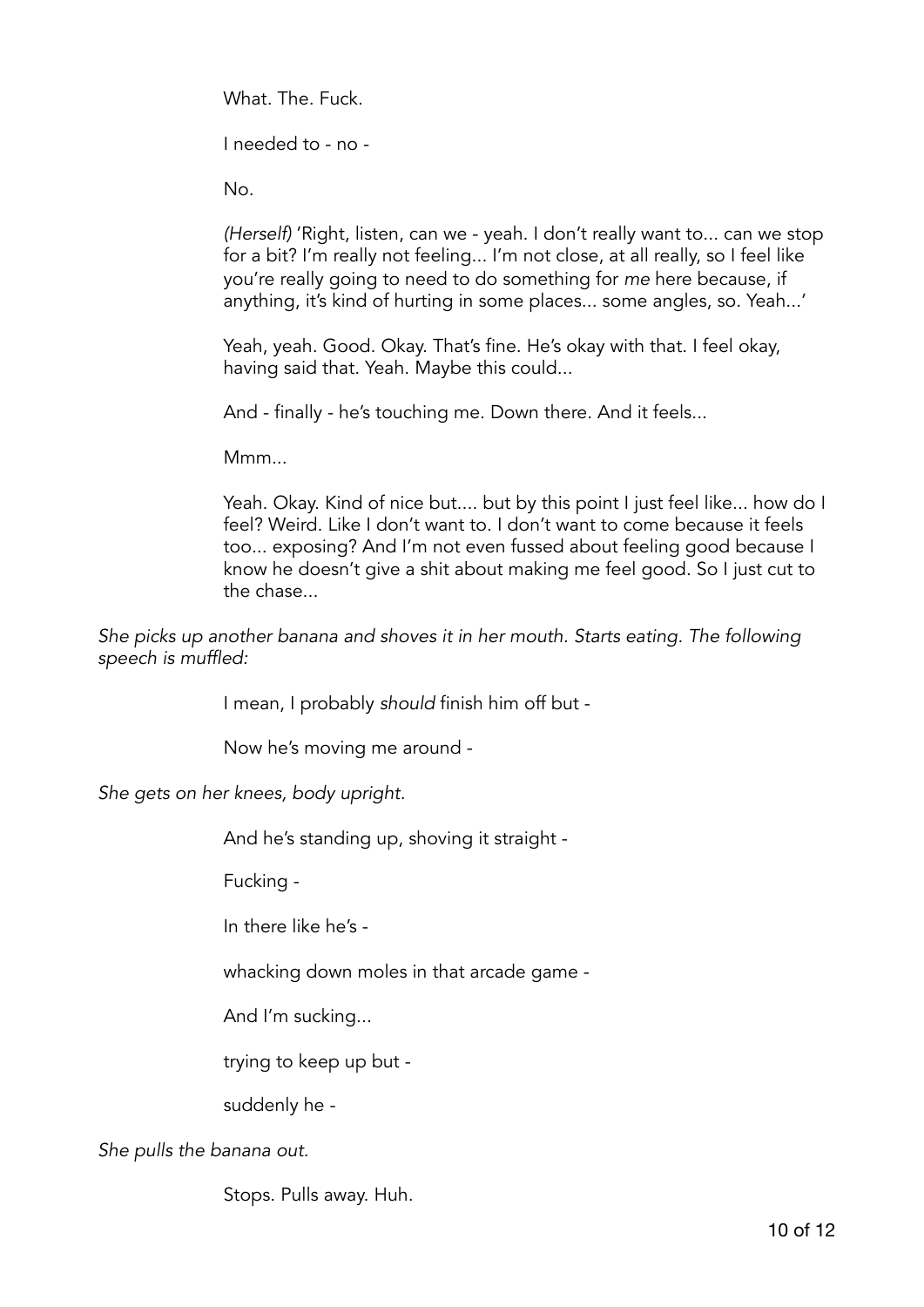What. The. Fuck.

I needed to - no -

No.

*(Herself)* 'Right, listen, can we - yeah. I don't really want to... can we stop for a bit? I'm really not feeling... I'm not close, at all really, so I feel like you're really going to need to do something for *me* here because, if anything, it's kind of hurting in some places... some angles, so. Yeah...'

Yeah, yeah. Good. Okay. That's fine. He's okay with that. I feel okay, having said that. Yeah. Maybe this could...

And - finally - he's touching me. Down there. And it feels...

Mmm...

Yeah. Okay. Kind of nice but.... but by this point I just feel like... how do I feel? Weird. Like I don't want to. I don't want to come because it feels too... exposing? And I'm not even fussed about feeling good because I know he doesn't give a shit about making me feel good. So I just cut to the chase...

*She picks up another banana and shoves it in her mouth. Starts eating. The following speech is muffled:* 

I mean, I probably *should* finish him off but -

Now he's moving me around -

*She gets on her knees, body upright.* 

And he's standing up, shoving it straight -

Fucking -

In there like he's -

whacking down moles in that arcade game -

And I'm sucking...

trying to keep up but -

suddenly he -

*She pulls the banana out.* 

Stops. Pulls away. Huh.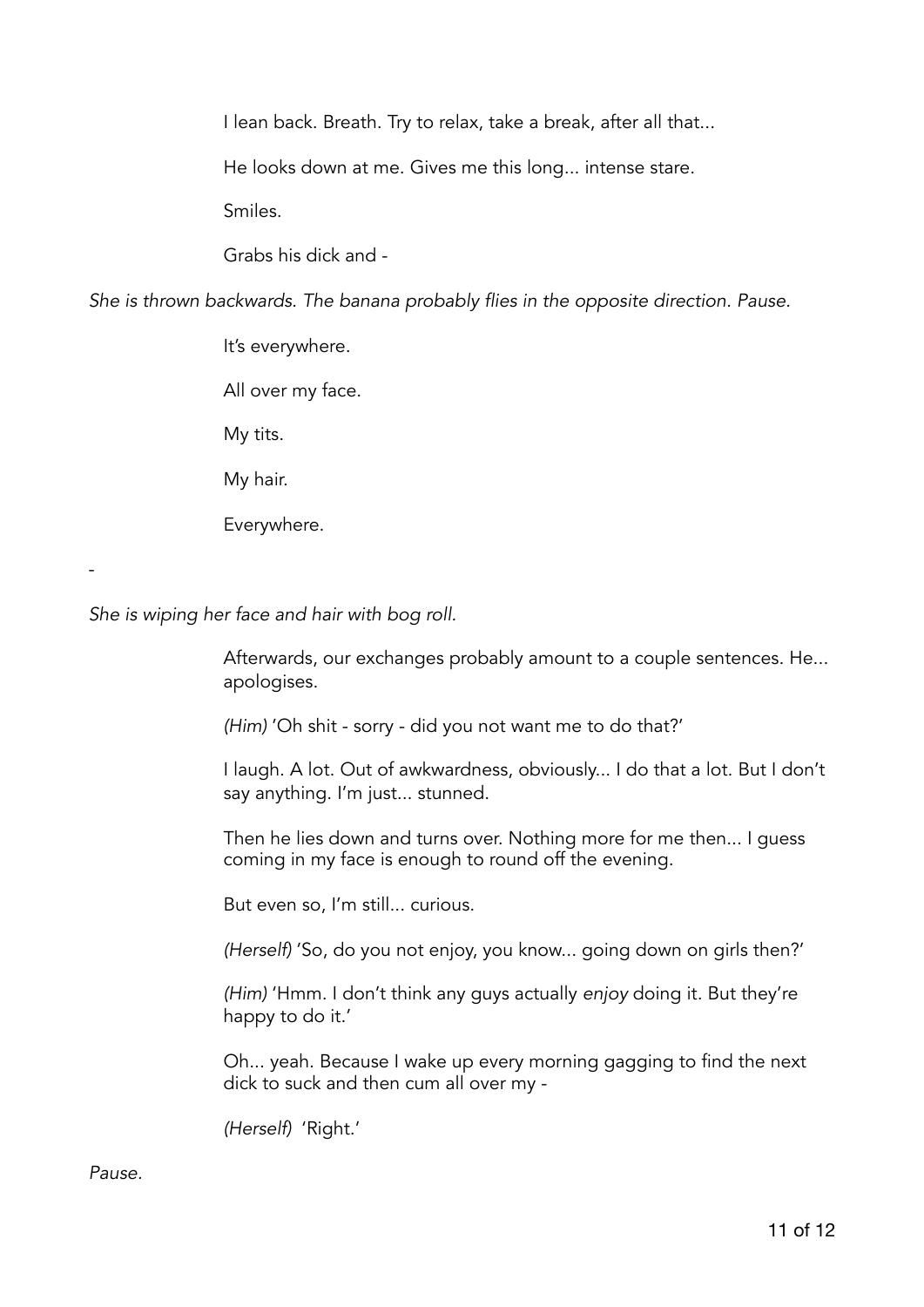I lean back. Breath. Try to relax, take a break, after all that...

He looks down at me. Gives me this long... intense stare.

Smiles.

Grabs his dick and -

*She is thrown backwards. The banana probably flies in the opposite direction. Pause.* 

It's everywhere. All over my face. My tits. My hair. Everywhere.

*She is wiping her face and hair with bog roll.* 

Afterwards, our exchanges probably amount to a couple sentences. He... apologises.

*(Him)* 'Oh shit - sorry - did you not want me to do that?'

I laugh. A lot. Out of awkwardness, obviously... I do that a lot. But I don't say anything. I'm just... stunned.

Then he lies down and turns over. Nothing more for me then... I guess coming in my face is enough to round off the evening.

But even so, I'm still... curious.

*(Herself)* 'So, do you not enjoy, you know... going down on girls then?'

*(Him)* 'Hmm. I don't think any guys actually *enjoy* doing it. But they're happy to do it.'

Oh... yeah. Because I wake up every morning gagging to find the next dick to suck and then cum all over my -

*(Herself)* 'Right.'

*Pause.* 

-